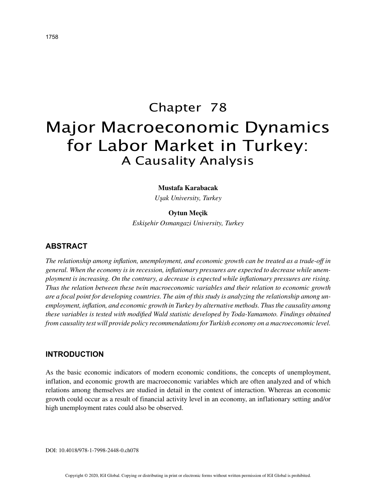# Chapter 78 Major Macroeconomic Dynamics for Labor Market in Turkey: A Causality Analysis

#### **Mustafa Karabacak**

*Uşak University, Turkey*

#### **Oytun Meçik**

*Eskişehir Osmangazi University, Turkey*

## **ABSTRACT**

*The relationship among inflation, unemployment, and economic growth can be treated as a trade-off in general. When the economy is in recession, inflationary pressures are expected to decrease while unemployment is increasing. On the contrary, a decrease is expected while inflationary pressures are rising. Thus the relation between these twin macroeconomic variables and their relation to economic growth are a focal point for developing countries. The aim of this study is analyzing the relationship among unemployment, inflation, and economic growth in Turkey by alternative methods. Thus the causality among these variables is tested with modified Wald statistic developed by Toda-Yamamoto. Findings obtained from causality test will provide policy recommendations for Turkish economy on a macroeconomic level.*

#### **INTRODUCTION**

As the basic economic indicators of modern economic conditions, the concepts of unemployment, inflation, and economic growth are macroeconomic variables which are often analyzed and of which relations among themselves are studied in detail in the context of interaction. Whereas an economic growth could occur as a result of financial activity level in an economy, an inflationary setting and/or high unemployment rates could also be observed.

DOI: 10.4018/978-1-7998-2448-0.ch078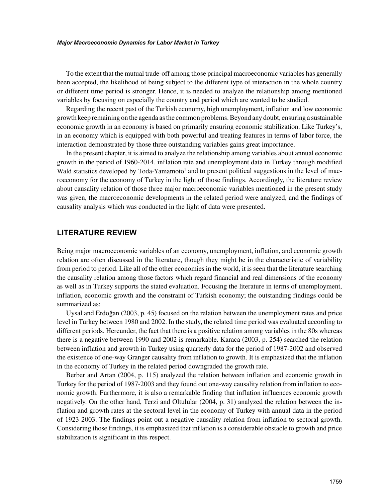#### *Major Macroeconomic Dynamics for Labor Market in Turkey*

To the extent that the mutual trade-off among those principal macroeconomic variables has generally been accepted, the likelihood of being subject to the different type of interaction in the whole country or different time period is stronger. Hence, it is needed to analyze the relationship among mentioned variables by focusing on especially the country and period which are wanted to be studied.

Regarding the recent past of the Turkish economy, high unemployment, inflation and low economic growth keep remaining on the agenda as the common problems. Beyond any doubt, ensuring a sustainable economic growth in an economy is based on primarily ensuring economic stabilization. Like Turkey's, in an economy which is equipped with both powerful and treating features in terms of labor force, the interaction demonstrated by those three outstanding variables gains great importance.

In the present chapter, it is aimed to analyze the relationship among variables about annual economic growth in the period of 1960-2014, inflation rate and unemployment data in Turkey through modified Wald statistics developed by Toda-Yamamoto<sup>1</sup> and to present political suggestions in the level of macroeconomy for the economy of Turkey in the light of those findings. Accordingly, the literature review about causality relation of those three major macroeconomic variables mentioned in the present study was given, the macroeconomic developments in the related period were analyzed, and the findings of causality analysis which was conducted in the light of data were presented.

## **LITERATURE REVIEW**

Being major macroeconomic variables of an economy, unemployment, inflation, and economic growth relation are often discussed in the literature, though they might be in the characteristic of variability from period to period. Like all of the other economies in the world, it is seen that the literature searching the causality relation among those factors which regard financial and real dimensions of the economy as well as in Turkey supports the stated evaluation. Focusing the literature in terms of unemployment, inflation, economic growth and the constraint of Turkish economy; the outstanding findings could be summarized as:

Uysal and Erdoğan (2003, p. 45) focused on the relation between the unemployment rates and price level in Turkey between 1980 and 2002. In the study, the related time period was evaluated according to different periods. Hereunder, the fact that there is a positive relation among variables in the 80s whereas there is a negative between 1990 and 2002 is remarkable. Karaca (2003, p. 254) searched the relation between inflation and growth in Turkey using quarterly data for the period of 1987-2002 and observed the existence of one-way Granger causality from inflation to growth. It is emphasized that the inflation in the economy of Turkey in the related period downgraded the growth rate.

Berber and Artan (2004, p. 115) analyzed the relation between inflation and economic growth in Turkey for the period of 1987-2003 and they found out one-way causality relation from inflation to economic growth. Furthermore, it is also a remarkable finding that inflation influences economic growth negatively. On the other hand, Terzi and Oltulular (2004, p. 31) analyzed the relation between the inflation and growth rates at the sectoral level in the economy of Turkey with annual data in the period of 1923-2003. The findings point out a negative causality relation from inflation to sectoral growth. Considering those findings, it is emphasized that inflation is a considerable obstacle to growth and price stabilization is significant in this respect.